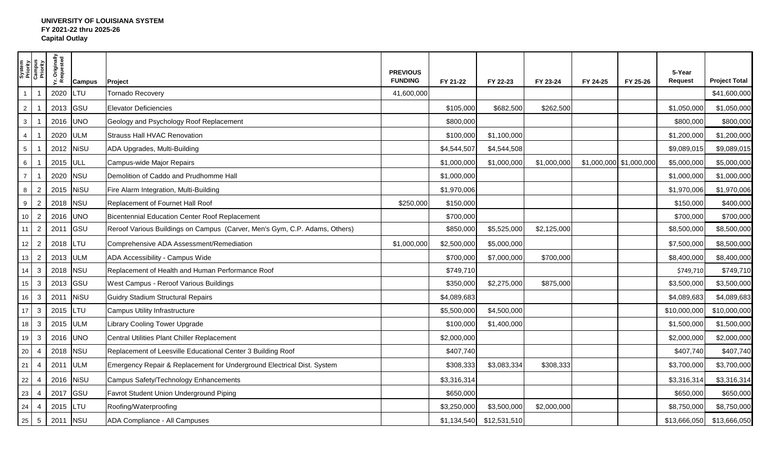## **UNIVERSITY OF LOUISIANA SYSTEM FY 2021-22 thru 2025-26 Capital Outlay**

|                 | System<br>Priority<br>Campus<br>Priority | Yr. Originally<br>Requested | <b>Campus</b> | Project                                                                    | <b>PREVIOUS</b><br><b>FUNDING</b> | FY 21-22    | FY 22-23     | FY 23-24    | FY 24-25                | FY 25-26 | 5-Year<br><b>Request</b> | <b>Project Total</b> |
|-----------------|------------------------------------------|-----------------------------|---------------|----------------------------------------------------------------------------|-----------------------------------|-------------|--------------|-------------|-------------------------|----------|--------------------------|----------------------|
| $\mathbf{1}$    | $\overline{ }$                           | 2020                        | LTU           | <b>Tornado Recovery</b>                                                    | 41,600,000                        |             |              |             |                         |          |                          | \$41,600,000         |
| $2^{\circ}$     |                                          | 2013                        | GSU           | <b>Elevator Deficiencies</b>                                               |                                   | \$105,000   | \$682,500    | \$262,500   |                         |          | \$1,050,000              | \$1,050,000          |
| $\mathbf{3}$    |                                          | 2016 UNO                    |               | Geology and Psychology Roof Replacement                                    |                                   | \$800,000   |              |             |                         |          | \$800,000                | \$800,000            |
| $\overline{4}$  |                                          | 2020 ULM                    |               | Strauss Hall HVAC Renovation                                               |                                   | \$100,000   | \$1,100,000  |             |                         |          | \$1,200,000              | \$1,200,000          |
| $5\phantom{.0}$ |                                          | 2012                        | NiSU          | ADA Upgrades, Multi-Building                                               |                                   | \$4,544,507 | \$4,544,508  |             |                         |          | \$9,089,015              | \$9,089,015          |
| $6\phantom{.0}$ |                                          | 2015 ULL                    |               | Campus-wide Major Repairs                                                  |                                   | \$1,000,000 | \$1,000,000  | \$1,000,000 | \$1,000,000 \$1,000,000 |          | \$5,000,000              | \$5,000,000          |
| $\overline{7}$  |                                          | 2020                        | <b>NSU</b>    | Demolition of Caddo and Prudhomme Hall                                     |                                   | \$1,000,000 |              |             |                         |          | \$1,000,000              | \$1,000,000          |
| 8               | 2                                        | 2015                        | <b>NiSU</b>   | Fire Alarm Integration, Multi-Building                                     |                                   | \$1,970,006 |              |             |                         |          | \$1,970,006              | \$1,970,006          |
| 9               | 2                                        | 2018                        | <b>NSU</b>    | Replacement of Fournet Hall Roof                                           | \$250,000                         | \$150,000   |              |             |                         |          | \$150,000                | \$400,000            |
| 10              | $\overline{2}$                           | 2016 UNO                    |               | Bicentennial Education Center Roof Replacement                             |                                   | \$700,000   |              |             |                         |          | \$700,000                | \$700,000            |
| 11              | $\overline{2}$                           | 2011                        | GSU           | Reroof Various Buildings on Campus (Carver, Men's Gym, C.P. Adams, Others) |                                   | \$850,000   | \$5,525,000  | \$2,125,000 |                         |          | \$8,500,000              | \$8,500,000          |
| 12              | $\overline{2}$                           | 2018                        | LTU           | Comprehensive ADA Assessment/Remediation                                   | \$1,000,000                       | \$2,500,000 | \$5,000,000  |             |                         |          | \$7,500,000              | \$8,500,000          |
| 13              | $\overline{2}$                           | 2013 ULM                    |               | ADA Accessibility - Campus Wide                                            |                                   | \$700,000   | \$7,000,000  | \$700,000   |                         |          | \$8,400,000              | \$8,400,000          |
| 14              | $\mathbf{3}$                             | 2018                        | <b>NSU</b>    | Replacement of Health and Human Performance Roof                           |                                   | \$749,710   |              |             |                         |          | \$749,710                | \$749,710            |
| $15\,$          | $\mathbf{3}$                             | 2013                        | GSU           | West Campus - Reroof Various Buildings                                     |                                   | \$350,000   | \$2,275,000  | \$875,000   |                         |          | \$3,500,000              | \$3,500,000          |
| 16              | $\mathbf{3}$                             | 2011                        | <b>NiSU</b>   | <b>Guidry Stadium Structural Repairs</b>                                   |                                   | \$4,089,683 |              |             |                         |          | \$4,089,683              | \$4,089,683          |
| 17              | $\mathbf{3}$                             | 2015                        | LTU           | Campus Utility Infrastructure                                              |                                   | \$5,500,000 | \$4,500,000  |             |                         |          | \$10,000,000             | \$10,000,000         |
| 18              | $\mathbf{3}$                             | 2015                        | <b>ULM</b>    | Library Cooling Tower Upgrade                                              |                                   | \$100,000   | \$1,400,000  |             |                         |          | \$1,500,000              | \$1,500,000          |
| 19              | $\mathbf{3}$                             | 2016                        | <b>UNO</b>    | Central Utilities Plant Chiller Replacement                                |                                   | \$2,000,000 |              |             |                         |          | \$2,000,000              | \$2,000,000          |
| $20\,$          | $\overline{4}$                           | 2018                        | <b>NSU</b>    | Replacement of Leesville Educational Center 3 Building Roof                |                                   | \$407,740   |              |             |                         |          | \$407,740                | \$407,740            |
| 21              | $\overline{4}$                           | 2011                        | <b>ULM</b>    | Emergency Repair & Replacement for Underground Electrical Dist. System     |                                   | \$308,333   | \$3,083,334  | \$308,333   |                         |          | \$3,700,000              | \$3,700,000          |
| 22              | $\overline{4}$                           | 2016                        | <b>NiSU</b>   | Campus Safety/Technology Enhancements                                      |                                   | \$3,316,314 |              |             |                         |          | \$3,316,314              | \$3,316,314          |
| 23              | $\overline{4}$                           | 2017                        | GSU           | Favrot Student Union Underground Piping                                    |                                   | \$650,000   |              |             |                         |          | \$650,000                | \$650,000            |
| 24              | -4                                       | 2015                        | <b>LTU</b>    | Roofing/Waterproofing                                                      |                                   | \$3,250,000 | \$3,500,000  | \$2,000,000 |                         |          | \$8,750,000              | \$8,750,000          |
| 25              | $5\overline{5}$                          | 2011                        | <b>NSU</b>    | ADA Compliance - All Campuses                                              |                                   | \$1,134,540 | \$12,531,510 |             |                         |          | \$13,666,050             | \$13,666,050         |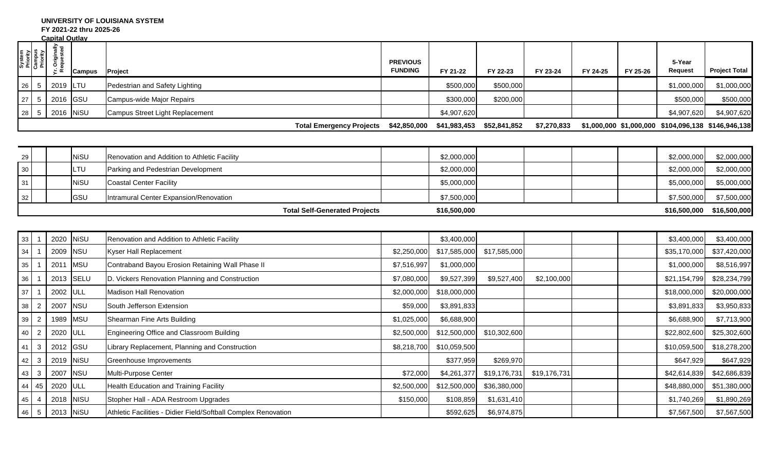#### **UNIVERSITY OF LOUISIANA SYSTEM FY 2021-22 thru 2025-26**

**Capital Outlay**

|                 |                                          | <u>vaullai vullav</u>              |               |                                 |                                   |              |              |             |          |          |                          |                                                     |
|-----------------|------------------------------------------|------------------------------------|---------------|---------------------------------|-----------------------------------|--------------|--------------|-------------|----------|----------|--------------------------|-----------------------------------------------------|
|                 | System<br>Priority<br>Campus<br>Priority | . Originally<br>lequested<br>- ≃ ∝ | <b>Campus</b> | Project                         | <b>PREVIOUS</b><br><b>FUNDING</b> | FY 21-22     | FY 22-23     | FY 23-24    | FY 24-25 | FY 25-26 | 5-Year<br><b>Request</b> | <b>Project Total</b>                                |
| 126             |                                          | 2019                               | <b>ILTU</b>   | Pedestrian and Safety Lighting  |                                   | \$500,000    | \$500,000    |             |          |          | \$1,000,000              | \$1,000,000                                         |
| 27 <sup>1</sup> |                                          | 2016 GSU                           |               | Campus-wide Major Repairs       |                                   | \$300,000    | \$200,000    |             |          |          | \$500,000                | \$500,000                                           |
| 28 <sup>1</sup> |                                          | 2016 NiSU                          |               | Campus Street Light Replacement |                                   | \$4,907,620  |              |             |          |          | \$4,907,620              | \$4,907,620                                         |
|                 |                                          |                                    |               | <b>Total Emergency Projects</b> | \$42,850,000                      | \$41,983,453 | \$52,841,852 | \$7,270,833 |          |          |                          | \$1,000,000 \$1,000,000 \$104,096,138 \$146,946,138 |

|                 |              | <b>Total Self-Generated Projects</b>         | \$16,500,000 |  | \$16,500,000 | \$16,500,000 |
|-----------------|--------------|----------------------------------------------|--------------|--|--------------|--------------|
| 32 <sub>1</sub> | <b>I</b> GSU | Intramural Center Expansion/Renovation       | \$7,500,000  |  | \$7,500,000  | \$7,500,000  |
| 31              | <b>NiSU</b>  | Coastal Center Facility                      | \$5,000,000  |  | \$5,000,000  | \$5,000,000  |
| 30              | LTU          | Parking and Pedestrian Development           | \$2,000,000  |  | \$2,000,000  | \$2,000,000  |
| 29              | <b>NiSU</b>  | Renovation and Addition to Athletic Facility | \$2,000,000  |  | \$2,000,000  | \$2,000,000  |

| 33              |                  | 2020           | <b>NiSU</b> | Renovation and Addition to Athletic Facility                   |             | \$3,400,000  |              |              | \$3,400,000  | \$3,400,000  |
|-----------------|------------------|----------------|-------------|----------------------------------------------------------------|-------------|--------------|--------------|--------------|--------------|--------------|
| 34              |                  | 2009 NSU       |             | <b>Kyser Hall Replacement</b>                                  | \$2,250,000 | \$17,585,000 | \$17,585,000 |              | \$35,170,000 | \$37,420,000 |
| 35              |                  | 2011           | <b>MSU</b>  | Contraband Bayou Erosion Retaining Wall Phase II               | \$7,516,997 | \$1,000,000  |              |              | \$1,000,000  | \$8,516,997  |
| 36              |                  | 2013 SELU      |             | D. Vickers Renovation Planning and Construction                | \$7,080,000 | \$9,527,399  | \$9,527,400  | \$2,100,000  | \$21,154,799 | \$28,234,799 |
| 37              |                  | 2002 ULL       |             | Madison Hall Renovation                                        | \$2,000,000 | \$18,000,000 |              |              | \$18,000,000 | \$20,000,000 |
| 38              | $\overline{2}$   | 2007           | <b>NSU</b>  | South Jefferson Extension                                      | \$59,000    | \$3,891,833  |              |              | \$3,891,833  | \$3,950,833  |
| 39              | 2                | 1989 MSU       |             | Shearman Fine Arts Building                                    | \$1,025,000 | \$6,688,900  |              |              | \$6,688,900  | \$7,713,900  |
| 40 <sup>1</sup> | 2                | 2020 ULL       |             | Engineering Office and Classroom Building                      | \$2,500,000 | \$12,500,000 | \$10,302,600 |              | \$22,802,600 | \$25,302,600 |
|                 | $41 \mid 3 \mid$ | 2012 GSU       |             | Library Replacement, Planning and Construction                 | \$8,218,700 | \$10,059,500 |              |              | \$10,059,500 | \$18,278,200 |
| 42              | 3 <sup>1</sup>   | 2019 NiSU      |             | Greenhouse Improvements                                        |             | \$377,959    | \$269,970    |              | \$647,929    | \$647,929    |
| 43              | 3 <sup>1</sup>   | 2007           | <b>NSU</b>  | Multi-Purpose Center                                           | \$72,000    | \$4,261,377  | \$19,176,731 | \$19,176,731 | \$42,614,839 | \$42,686,839 |
|                 |                  | 44 45 2020 ULL |             | Health Education and Training Facility                         | \$2,500,000 | \$12,500,000 | \$36,380,000 |              | \$48,880,000 | \$51,380,000 |
| 45              |                  | 2018 NISU      |             | Stopher Hall - ADA Restroom Upgrades                           | \$150,000   | \$108,859    | \$1,631,410  |              | \$1,740,269  | \$1,890,269  |
|                 | 46 5             | 2013 NiSU      |             | Athletic Facilities - Didier Field/Softball Complex Renovation |             | \$592,625    | \$6,974,875  |              | \$7,567,500  | \$7,567,500  |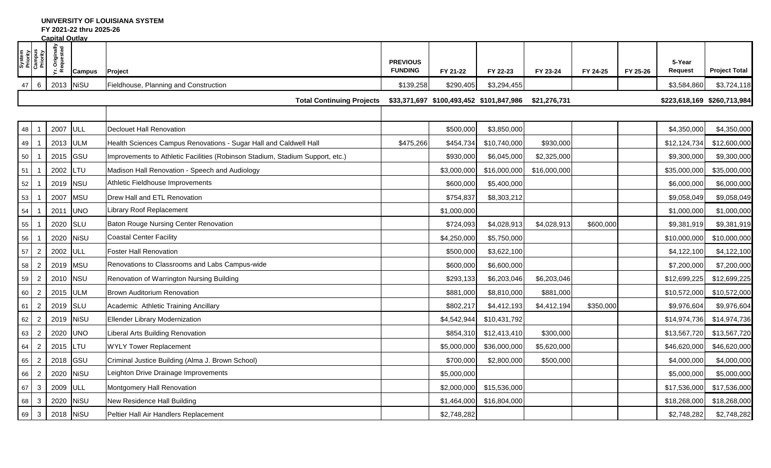**UNIVERSITY OF LOUISIANA SYSTEM**

**FY 2021-22 thru 2025-26**

|    |                                          | <b>Capital Outlay</b>       |             |                                                                               |                                   |                                          |              |              |           |          |                          |                             |
|----|------------------------------------------|-----------------------------|-------------|-------------------------------------------------------------------------------|-----------------------------------|------------------------------------------|--------------|--------------|-----------|----------|--------------------------|-----------------------------|
|    | System<br>Priority<br>Campus<br>Priority | Yr. Originally<br>Requested | Campus      | Project                                                                       | <b>PREVIOUS</b><br><b>FUNDING</b> | FY 21-22                                 | FY 22-23     | FY 23-24     | FY 24-25  | FY 25-26 | 5-Year<br><b>Request</b> | <b>Project Total</b>        |
| 47 | $6\phantom{.}6$                          | 2013 NiSU                   |             | Fieldhouse, Planning and Construction                                         | \$139,258                         | \$290,405                                | \$3,294,455  |              |           |          | \$3,584,860              | \$3,724,118                 |
|    |                                          |                             |             | <b>Total Continuing Projects</b>                                              |                                   | \$33,371,697 \$100,493,452 \$101,847,986 |              | \$21,276,731 |           |          |                          | \$223,618,169 \$260,713,984 |
|    |                                          |                             |             |                                                                               |                                   |                                          |              |              |           |          |                          |                             |
| 48 |                                          | 2007                        | <b>ULL</b>  | <b>Declouet Hall Renovation</b>                                               |                                   | \$500,000                                | \$3,850,000  |              |           |          | \$4,350,000              | \$4,350,000                 |
| 49 |                                          | 2013                        | <b>ULM</b>  | Health Sciences Campus Renovations - Sugar Hall and Caldwell Hall             | \$475,266                         | \$454,734                                | \$10,740,000 | \$930,000    |           |          | \$12,124,734             | \$12,600,000                |
| 50 |                                          | 2015                        | <b>GSU</b>  | Improvements to Athletic Facilities (Robinson Stadium, Stadium Support, etc.) |                                   | \$930,000                                | \$6,045,000  | \$2,325,000  |           |          | \$9,300,000              | \$9,300,000                 |
| 51 |                                          | 2002                        | LTU         | Madison Hall Renovation - Speech and Audiology                                |                                   | \$3,000,000                              | \$16,000,000 | \$16,000,000 |           |          | \$35,000,000             | \$35,000,000                |
| 52 |                                          | 2019                        | <b>NSU</b>  | Athletic Fieldhouse Improvements                                              |                                   | \$600,000                                | \$5,400,000  |              |           |          | \$6,000,000              | \$6,000,000                 |
| 53 |                                          | 2007                        | <b>MSU</b>  | Drew Hall and ETL Renovation                                                  |                                   | \$754,837                                | \$8,303,212  |              |           |          | \$9,058,049              | \$9,058,049                 |
| 54 |                                          | 2011                        | <b>UNO</b>  | Library Roof Replacement                                                      |                                   | \$1,000,000                              |              |              |           |          | \$1,000,000              | \$1,000,000                 |
| 55 |                                          | 2020                        | SLU         | <b>Baton Rouge Nursing Center Renovation</b>                                  |                                   | \$724,093                                | \$4,028,913  | \$4,028,913  | \$600,000 |          | \$9,381,919              | \$9,381,919                 |
| 56 |                                          | 2020                        | <b>NiSU</b> | <b>Coastal Center Facility</b>                                                |                                   | \$4,250,000                              | \$5,750,000  |              |           |          | \$10,000,000             | \$10,000,000                |
| 57 | $\overline{2}$                           | 2002                        | ULL         | <b>Foster Hall Renovation</b>                                                 |                                   | \$500,000                                | \$3,622,100  |              |           |          | \$4,122,100              | \$4,122,100                 |
| 58 | $\overline{2}$                           | 2019                        | <b>MSU</b>  | Renovations to Classrooms and Labs Campus-wide                                |                                   | \$600,000                                | \$6,600,000  |              |           |          | \$7,200,000              | \$7,200,000                 |
| 59 | $\overline{2}$                           | 2010                        | <b>NSU</b>  | Renovation of Warrington Nursing Building                                     |                                   | \$293,133                                | \$6,203,046  | \$6,203,046  |           |          | \$12,699,225             | \$12,699,225                |
| 60 | $\overline{2}$                           | 2015                        | <b>ULM</b>  | <b>Brown Auditorium Renovation</b>                                            |                                   | \$881,000                                | \$8,810,000  | \$881,000    |           |          | \$10,572,000             | \$10,572,000                |
| 61 | $\overline{2}$                           | 2019                        | SLU         | Academic Athletic Training Ancillary                                          |                                   | \$802,217                                | \$4,412,193  | \$4,412,194  | \$350,000 |          | \$9,976,604              | \$9,976,604                 |
| 62 | $\overline{2}$                           | 2019                        | <b>NiSU</b> | Ellender Library Modernization                                                |                                   | \$4,542,944                              | \$10,431,792 |              |           |          | \$14,974,736             | \$14,974,736                |
| 63 | $\overline{2}$                           | 2020                        | <b>UNO</b>  | Liberal Arts Building Renovation                                              |                                   | \$854,310                                | \$12,413,410 | \$300,000    |           |          | \$13,567,720             | \$13,567,720                |
| 64 | $\overline{2}$                           | 2015                        | LTU         | <b>WYLY Tower Replacement</b>                                                 |                                   | \$5,000,000                              | \$36,000,000 | \$5,620,000  |           |          | \$46,620,000             | \$46,620,000                |
| 65 | $\overline{2}$                           | 2018                        | GSU         | Criminal Justice Building (Alma J. Brown School)                              |                                   | \$700,000                                | \$2,800,000  | \$500,000    |           |          | \$4,000,000              | \$4,000,000                 |
| 66 | $\overline{2}$                           | 2020                        | <b>NiSU</b> | Leighton Drive Drainage Improvements                                          |                                   | \$5,000,000                              |              |              |           |          | \$5,000,000              | \$5,000,000                 |
| 67 | $\mathbf{3}$                             | 2009                        | ULL         | Montgomery Hall Renovation                                                    |                                   | \$2,000,000                              | \$15,536,000 |              |           |          | \$17,536,000             | \$17,536,000                |
| 68 | $\mathbf{3}$                             | 2020                        | <b>NiSU</b> | New Residence Hall Building                                                   |                                   | \$1,464,000                              | \$16,804,000 |              |           |          | \$18,268,000             | \$18,268,000                |
| 69 | $\mathbf{3}$                             | 2018                        | <b>NiSU</b> | Peltier Hall Air Handlers Replacement                                         |                                   | \$2,748,282                              |              |              |           |          | \$2,748,282              | \$2,748,282                 |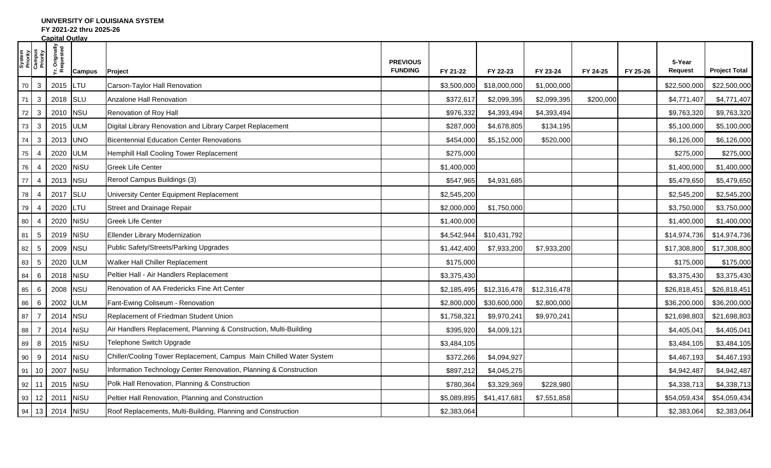## **UNIVERSITY OF LOUISIANA SYSTEM**

**FY 2021-22 thru 2025-26**

| <b>Capital Outlav</b> |                                          |                             |               |                                                                     |                                   |             |              |              |           |          |                   |                      |
|-----------------------|------------------------------------------|-----------------------------|---------------|---------------------------------------------------------------------|-----------------------------------|-------------|--------------|--------------|-----------|----------|-------------------|----------------------|
|                       | System<br>Priority<br>Campus<br>Priority | Yr. Originally<br>Requested | <b>Campus</b> | Project                                                             | <b>PREVIOUS</b><br><b>FUNDING</b> | FY 21-22    | FY 22-23     | FY 23-24     | FY 24-25  | FY 25-26 | 5-Year<br>Request | <b>Project Total</b> |
| 70                    | $\mathbf{3}$                             | 2015                        | LTU           | Carson-Taylor Hall Renovation                                       |                                   | \$3,500,000 | \$18,000,000 | \$1,000,000  |           |          | \$22,500,000      | \$22,500,000         |
| 71                    | $\mathbf{3}$                             | 2018                        | <b>SLU</b>    | Anzalone Hall Renovation                                            |                                   | \$372,617   | \$2,099,395  | \$2,099,395  | \$200,000 |          | \$4,771,407       | \$4,771,407          |
| 72                    | $\mathbf{3}$                             | 2010                        | <b>NSU</b>    | Renovation of Roy Hall                                              |                                   | \$976,332   | \$4,393,494  | \$4,393,494  |           |          | \$9,763,320       | \$9,763,320          |
| 73                    | $\mathbf{3}$                             | 2015                        | <b>ULM</b>    | Digital Library Renovation and Library Carpet Replacement           |                                   | \$287,000   | \$4,678,805  | \$134,195    |           |          | \$5,100,000       | \$5,100,000          |
| 74                    | $\mathbf{3}$                             | 2013                        | <b>UNO</b>    | <b>Bicentennial Education Center Renovations</b>                    |                                   | \$454,000   | \$5,152,000  | \$520,000    |           |          | \$6,126,000       | \$6,126,000          |
| 75                    | 4                                        | 2020                        | <b>ULM</b>    | Hemphill Hall Cooling Tower Replacement                             |                                   | \$275,000   |              |              |           |          | \$275,000         | \$275,000            |
| 76                    | $\overline{4}$                           | 2020                        | <b>NiSU</b>   | <b>Greek Life Center</b>                                            |                                   | \$1,400,000 |              |              |           |          | \$1,400,000       | \$1,400,000          |
| $77$                  | $\overline{4}$                           | 2013                        | <b>NSU</b>    | Reroof Campus Buildings (3)                                         |                                   | \$547,965   | \$4,931,685  |              |           |          | \$5,479,650       | \$5,479,650          |
| 78                    | 4                                        | 2017                        | <b>SLU</b>    | University Center Equipment Replacement                             |                                   | \$2,545,200 |              |              |           |          | \$2,545,200       | \$2,545,200          |
| 79                    | $\overline{4}$                           | 2020                        | LTU           | Street and Drainage Repair                                          |                                   | \$2,000,000 | \$1,750,000  |              |           |          | \$3,750,000       | \$3,750,000          |
| 80                    | $\overline{4}$                           | 2020                        | <b>NiSU</b>   | <b>Greek Life Center</b>                                            |                                   | \$1,400,000 |              |              |           |          | \$1,400,000       | \$1,400,000          |
| 81                    | $5\phantom{.0}$                          | 2019                        | <b>NiSU</b>   | Ellender Library Modernization                                      |                                   | \$4,542,944 | \$10,431,792 |              |           |          | \$14,974,736      | \$14,974,736         |
| 82                    | $5\overline{5}$                          | 2009                        | <b>NSU</b>    | Public Safety/Streets/Parking Upgrades                              |                                   | \$1,442,400 | \$7,933,200  | \$7,933,200  |           |          | \$17,308,800      | \$17,308,800         |
| 83                    | $5\phantom{.0}$                          | 2020                        | <b>ULM</b>    | Walker Hall Chiller Replacement                                     |                                   | \$175,000   |              |              |           |          | \$175,000         | \$175,000            |
| 84                    | 6                                        | 2018                        | <b>NiSU</b>   | Peltier Hall - Air Handlers Replacement                             |                                   | \$3,375,430 |              |              |           |          | \$3,375,430       | \$3,375,430          |
| 85                    | 6                                        | 2008                        | <b>NSU</b>    | Renovation of AA Fredericks Fine Art Center                         |                                   | \$2,185,495 | \$12,316,478 | \$12,316,478 |           |          | \$26,818,451      | \$26,818,451         |
| 86                    | 6                                        | 2002                        | <b>ULM</b>    | Fant-Ewing Coliseum - Renovation                                    |                                   | \$2,800,000 | \$30,600,000 | \$2,800,000  |           |          | \$36,200,000      | \$36,200,000         |
| 87                    | $\overline{7}$                           | 2014                        | <b>NSU</b>    | Replacement of Friedman Student Union                               |                                   | \$1,758,321 | \$9,970,241  | \$9,970,241  |           |          | \$21,698,803      | \$21,698,803         |
| 88                    | $\overline{7}$                           | 2014                        | <b>NiSU</b>   | Air Handlers Replacement, Planning & Construction, Multi-Building   |                                   | \$395,920   | \$4,009,121  |              |           |          | \$4,405,041       | \$4,405,041          |
| 89                    | 8                                        | 2015                        | <b>NiSU</b>   | Telephone Switch Upgrade                                            |                                   | \$3,484,105 |              |              |           |          | \$3,484,105       | \$3,484,105          |
| 90                    | 9                                        | 2014                        | <b>NiSU</b>   | Chiller/Cooling Tower Replacement, Campus Main Chilled Water System |                                   | \$372,266   | \$4,094,927  |              |           |          | \$4,467,193       | \$4,467,193          |
| 91                    | 10                                       | 2007                        | <b>NiSU</b>   | Information Technology Center Renovation, Planning & Construction   |                                   | \$897,212   | \$4,045,275  |              |           |          | \$4,942,487       | \$4,942,487          |
|                       | 92 11                                    | 2015                        | <b>NiSU</b>   | Polk Hall Renovation, Planning & Construction                       |                                   | \$780,364   | \$3,329,369  | \$228,980    |           |          | \$4,338,713       | \$4,338,713          |
|                       | 93 12                                    | 2011                        | <b>NiSU</b>   | Peltier Hall Renovation, Planning and Construction                  |                                   | \$5,089,895 | \$41,417,681 | \$7,551,858  |           |          | \$54,059,434      | \$54,059,434         |
| 94                    | 13                                       | 2014                        | NiSU          | Roof Replacements, Multi-Building, Planning and Construction        |                                   | \$2,383,064 |              |              |           |          | \$2,383,064       | \$2,383,064          |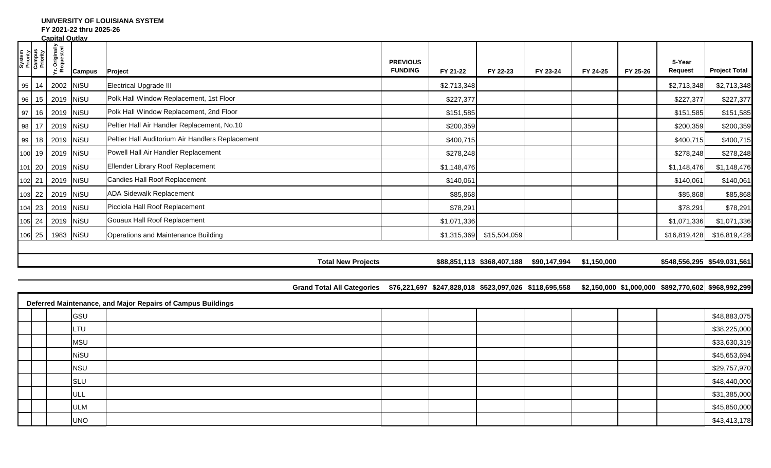## **UNIVERSITY OF LOUISIANA SYSTEM**

**FY 2021-22 thru 2025-26**

|                                          | <b>Capital Outlay</b>       |               |                                                                                                                                       |                                   |             |                            |                                                     |          |          |                             |                      |
|------------------------------------------|-----------------------------|---------------|---------------------------------------------------------------------------------------------------------------------------------------|-----------------------------------|-------------|----------------------------|-----------------------------------------------------|----------|----------|-----------------------------|----------------------|
| System<br>Priority<br>Campus<br>Priority | Yr. Originally<br>Requested | <b>Campus</b> | Project                                                                                                                               | <b>PREVIOUS</b><br><b>FUNDING</b> | FY 21-22    | FY 22-23                   | FY 23-24                                            | FY 24-25 | FY 25-26 | 5-Year<br>Request           | <b>Project Total</b> |
|                                          | 95   14   2002   NiSU       |               | Electrical Upgrade III                                                                                                                |                                   | \$2,713,348 |                            |                                                     |          |          | \$2,713,348                 | \$2,713,348          |
|                                          | 96 15 2019 NiSU             |               | Polk Hall Window Replacement, 1st Floor                                                                                               |                                   | \$227,377   |                            |                                                     |          |          | \$227,377                   | \$227,377            |
|                                          | 97 16 2019 NiSU             |               | Polk Hall Window Replacement, 2nd Floor                                                                                               |                                   | \$151,585   |                            |                                                     |          |          | \$151,585                   | \$151,585            |
|                                          | 98 17 2019 NiSU             |               | Peltier Hall Air Handler Replacement, No.10                                                                                           |                                   | \$200,359   |                            |                                                     |          |          | \$200,359                   | \$200,359            |
| 99                                       | 18 2019 NiSU                |               | Peltier Hall Auditorium Air Handlers Replacement                                                                                      |                                   | \$400,715   |                            |                                                     |          |          | \$400,715                   | \$400,715            |
|                                          | 100 19 2019 NiSU            |               | Powell Hall Air Handler Replacement                                                                                                   |                                   | \$278,248   |                            |                                                     |          |          | \$278,248                   | \$278,248            |
|                                          | 101 20 2019 NiSU            |               | Ellender Library Roof Replacement                                                                                                     |                                   | \$1,148,476 |                            |                                                     |          |          | \$1,148,476                 | \$1,148,476          |
|                                          | 102 21 2019 NiSU            |               | Candies Hall Roof Replacement                                                                                                         |                                   | \$140,061   |                            |                                                     |          |          | \$140,061                   | \$140,061            |
|                                          | 103 22 2019 NiSU            |               | <b>ADA Sidewalk Replacement</b>                                                                                                       |                                   | \$85,868    |                            |                                                     |          |          | \$85,868                    | \$85,868             |
|                                          | 104 23 2019 NiSU            |               | Picciola Hall Roof Replacement                                                                                                        |                                   | \$78,291    |                            |                                                     |          |          | \$78,291                    | \$78,291             |
|                                          | 105 24 2019 NiSU            |               | Gouaux Hall Roof Replacement                                                                                                          |                                   | \$1,071,336 |                            |                                                     |          |          | \$1,071,336                 | \$1,071,336          |
|                                          | 106 25 1983 NiSU            |               | Operations and Maintenance Building                                                                                                   |                                   |             | $$1,315,369$ $$15,504,059$ |                                                     |          |          | \$16,819,428                | \$16,819,428         |
|                                          |                             |               |                                                                                                                                       |                                   |             |                            |                                                     |          |          |                             |                      |
|                                          |                             |               | <b>Total New Projects</b>                                                                                                             |                                   |             |                            | \$88,851,113 \$368,407,188 \$90,147,994 \$1,150,000 |          |          | \$548,556,295 \$549,031,561 |                      |
|                                          |                             |               |                                                                                                                                       |                                   |             |                            |                                                     |          |          |                             |                      |
|                                          |                             |               | Grand Total All Categories \$76,221,697 \$247,828,018 \$523,097,026 \$118,695,558 \$2,150,000 \$1,000,000 \$892,770,602 \$968,992,299 |                                   |             |                            |                                                     |          |          |                             |                      |
|                                          |                             |               | Deferred Maintenance, and Major Repairs of Campus Buildings                                                                           |                                   |             |                            |                                                     |          |          |                             |                      |
|                                          |                             | GSU           |                                                                                                                                       |                                   |             |                            |                                                     |          |          |                             | \$48,883,075         |
|                                          |                             | LTU           |                                                                                                                                       |                                   |             |                            |                                                     |          |          |                             | \$38,225,000         |
|                                          |                             | <b>MSU</b>    |                                                                                                                                       |                                   |             |                            |                                                     |          |          |                             | \$33,630,319         |
|                                          |                             | <b>NiSU</b>   |                                                                                                                                       |                                   |             |                            |                                                     |          |          |                             | \$45,653,694         |
|                                          |                             | <b>NSU</b>    |                                                                                                                                       |                                   |             |                            |                                                     |          |          |                             | \$29,757,970         |
|                                          |                             | <b>SLU</b>    |                                                                                                                                       |                                   |             |                            |                                                     |          |          |                             | \$48,440,000         |
|                                          |                             | ULL           |                                                                                                                                       |                                   |             |                            |                                                     |          |          |                             | \$31,385,000         |
|                                          |                             | <b>ULM</b>    |                                                                                                                                       |                                   |             |                            |                                                     |          |          |                             | \$45,850,000         |

UNO | \$43,413,178 | | | | | | | | | | | | | \$43,413,178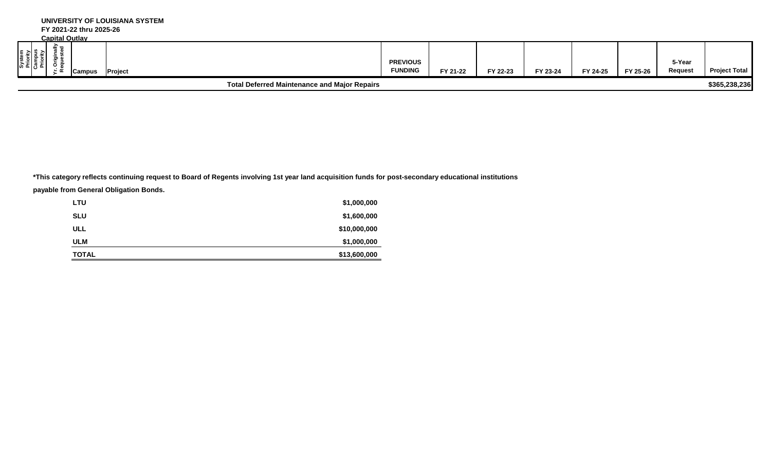| System<br>Priority<br>Campus<br>Priority | <u>Cabildi Ouliav</u><br>≘⊤ਰ | Campus | Project |  |                                                     | <b>PREVIOUS</b><br><b>FUNDING</b> | FY 21-22 | FY 22-23 | FY 23-24 | FY 24-25 | FY 25-26 | 5-Year<br>Request | <b>Project Total</b> |
|------------------------------------------|------------------------------|--------|---------|--|-----------------------------------------------------|-----------------------------------|----------|----------|----------|----------|----------|-------------------|----------------------|
|                                          |                              |        |         |  | <b>Total Deferred Maintenance and Major Repairs</b> |                                   |          |          |          |          |          |                   | \$365,238,236        |

**\*This category reflects continuing request to Board of Regents involving 1st year land acquisition funds for post-secondary educational institutions**

**payable from General Obligation Bonds.** 

| LTU          | \$1,000,000  |
|--------------|--------------|
| <b>SLU</b>   | \$1,600,000  |
| <b>ULL</b>   | \$10,000,000 |
| <b>ULM</b>   | \$1,000,000  |
| <b>TOTAL</b> | \$13,600,000 |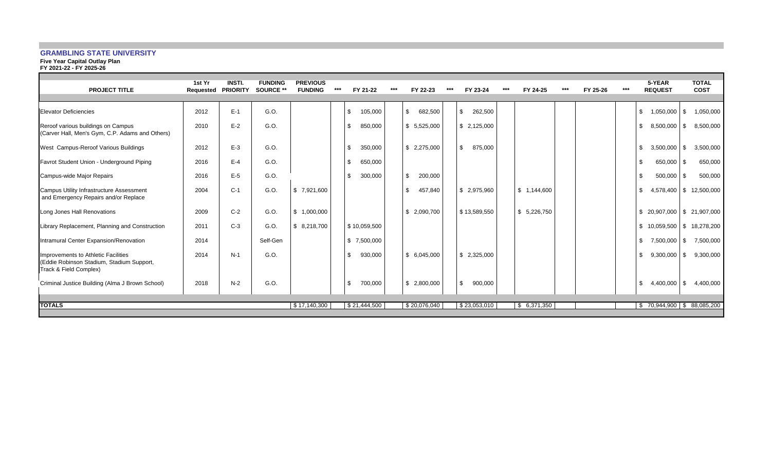## **GRAMBLING STATE UNIVERSITY**

**Five Year Capital Outlay Plan**

|  |  | FY 2021-22 - FY 2025-26 |
|--|--|-------------------------|
|  |  |                         |

| <b>PROJECT TITLE</b>                                                                                       | 1st Yr<br>Requested | <b>INSTI.</b><br><b>PRIORITY</b> | <b>FUNDING</b><br>SOURCE ** | <b>PREVIOUS</b><br><b>FUNDING</b> | *** | FY 21-22       | $***$ | FY 22-23                | $***$ | FY 23-24                | $***$ | FY 24-25    | *** | FY 25-26 | *** | 5-YEAR<br><b>REQUEST</b>         |          | <b>TOTAL</b><br><b>COST</b> |
|------------------------------------------------------------------------------------------------------------|---------------------|----------------------------------|-----------------------------|-----------------------------------|-----|----------------|-------|-------------------------|-------|-------------------------|-------|-------------|-----|----------|-----|----------------------------------|----------|-----------------------------|
| <b>Elevator Deficiencies</b>                                                                               | 2012                | $E-1$                            | G.O.                        |                                   |     | \$<br>105,000  |       | \$<br>682,500           |       | \$<br>262,500           |       |             |     |          |     | 1,050,000<br>\$                  | \$       | 1,050,000                   |
| Reroof various buildings on Campus<br>(Carver Hall, Men's Gym, C.P. Adams and Others)                      | 2010                | $E-2$                            | G.O.                        |                                   |     | 850,000<br>\$. |       | \$5,525,000             |       | \$2,125,000             |       |             |     |          |     | 8,500,000<br>£                   | \$       | 8,500,000                   |
| West Campus-Reroof Various Buildings                                                                       | 2012                | $E-3$                            | G.O.                        |                                   |     | \$<br>350,000  |       | \$2,275,000             |       | $\mathbb{S}$<br>875,000 |       |             |     |          |     | 3,500,000<br>£                   | \$       | 3,500,000                   |
| Favrot Student Union - Underground Piping                                                                  | 2016                | $E-4$                            | G.O.                        |                                   |     | \$<br>650,000  |       |                         |       |                         |       |             |     |          |     | 650,000<br>£                     | <b>S</b> | 650,000                     |
| Campus-wide Major Repairs                                                                                  | 2016                | $E-5$                            | G.O.                        |                                   |     | \$<br>300,000  |       | $\mathbb{S}$<br>200,000 |       |                         |       |             |     |          |     | 500,000<br>-\$                   | \$       | 500,000                     |
| Campus Utility Infrastructure Assessment<br>and Emergency Repairs and/or Replace                           | 2004                | $C-1$                            | G.O.                        | \$7,921,600                       |     |                |       | \$.<br>457,840          |       | \$ 2,975,960            |       | \$1,144,600 |     |          |     | 4,578,400<br>£                   |          | \$12,500,000                |
| Long Jones Hall Renovations                                                                                | 2009                | $C-2$                            | G.O.                        | \$1,000,000                       |     |                |       | \$2,090,700             |       | \$13,589,550            |       | \$5,226,750 |     |          |     | $$20,907,000$ $$21,907,000$      |          |                             |
| Library Replacement, Planning and Construction                                                             | 2011                | $C-3$                            | G.O.                        | \$8,218,700                       |     | \$10,059,500   |       |                         |       |                         |       |             |     |          |     | \$<br>10,059,500   \$ 18,278,200 |          |                             |
| Intramural Center Expansion/Renovation                                                                     | 2014                |                                  | Self-Gen                    |                                   |     | \$7,500,000    |       |                         |       |                         |       |             |     |          |     | \$.<br>7,500,000                 | \$       | 7,500,000                   |
| Improvements to Athletic Facilities<br>(Eddie Robinson Stadium, Stadium Support,<br>Track & Field Complex) | 2014                | $N-1$                            | G.O.                        |                                   |     | \$<br>930,000  |       | \$ 6.045.000            |       | \$2,325,000             |       |             |     |          |     | 9,300,000<br>\$                  | \$       | 9,300,000                   |
| Criminal Justice Building (Alma J Brown School)                                                            | 2018                | $N-2$                            | G.O.                        |                                   |     | 700,000<br>\$  |       | \$2,800,000             |       | \$<br>900,000           |       |             |     |          |     | 4,400,000<br>-\$                 | \$       | 4,400,000                   |
| <b>TOTALS</b>                                                                                              |                     |                                  |                             | \$17,140,300                      |     | \$21,444,500   |       | \$20,076,040            |       | \$23,053,010            |       | \$6,371,350 |     |          |     | $$70,944,900$ $$88,085,200$      |          |                             |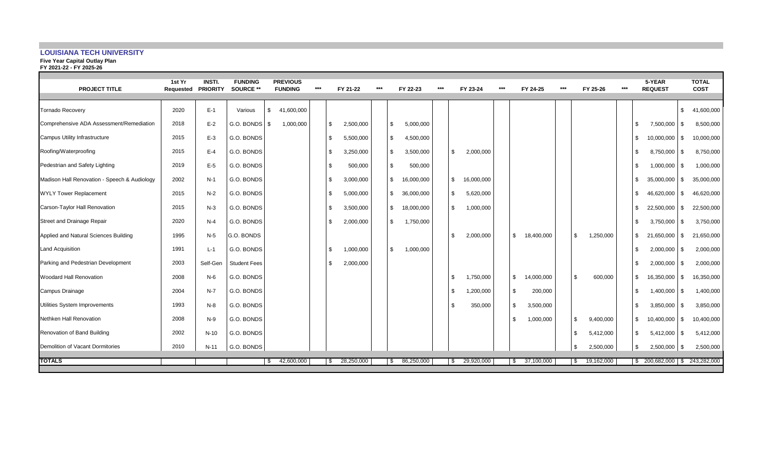## **LOUISIANA TECH UNIVERSITY**

#### **Five Year Capital Outlay Plan**

| FY 2021-22 - FY 2025-26                      |                     |                                  |                             |                                   |       |     |           |       |              |            |       |              |            |       |                  |       |     |           |       |           |                          |          |                             |
|----------------------------------------------|---------------------|----------------------------------|-----------------------------|-----------------------------------|-------|-----|-----------|-------|--------------|------------|-------|--------------|------------|-------|------------------|-------|-----|-----------|-------|-----------|--------------------------|----------|-----------------------------|
| <b>PROJECT TITLE</b>                         | 1st Yr<br>Requested | <b>INSTI.</b><br><b>PRIORITY</b> | <b>FUNDING</b><br>SOURCE ** | <b>PREVIOUS</b><br><b>FUNDING</b> | $***$ |     | FY 21-22  | $***$ |              | FY 22-23   | $***$ |              | FY 23-24   | $***$ | FY 24-25         | $***$ |     | FY 25-26  | $***$ |           | 5-YEAR<br><b>REQUEST</b> |          | <b>TOTAL</b><br><b>COST</b> |
| <b>Tornado Recovery</b>                      | 2020                | $E-1$                            | Various                     | \$<br>41,600,000                  |       |     |           |       |              |            |       |              |            |       |                  |       |     |           |       |           |                          | \$       | 41,600,000                  |
| Comprehensive ADA Assessment/Remediation     | 2018                | $E-2$                            | G.O. BONDS \$               | 1,000,000                         |       | \$  | 2,500,000 |       | \$           | 5,000,000  |       |              |            |       |                  |       |     |           |       | <b>.s</b> | 7,500,000                | l \$     | 8,500,000                   |
| Campus Utility Infrastructure                | 2015                | $E-3$                            | G.O. BONDS                  |                                   |       | \$  | 5,500,000 |       | \$           | 4,500,000  |       |              |            |       |                  |       |     |           |       | \$.       | $10,000,000$ \$          |          | 10,000,000                  |
| Roofing/Waterproofing                        | 2015                | $E-4$                            | G.O. BONDS                  |                                   |       | \$  | 3,250,000 |       | \$           | 3,500,000  |       | \$           | 2,000,000  |       |                  |       |     |           |       |           | 8,750,000                | l \$     | 8,750,000                   |
| Pedestrian and Safety Lighting               | 2019                | $E-5$                            | G.O. BONDS                  |                                   |       |     | 500,000   |       | \$           | 500,000    |       |              |            |       |                  |       |     |           |       | .ፍ        | 1,000,000                | l \$     | 1,000,000                   |
| Madison Hall Renovation - Speech & Audiology | 2002                | $N-1$                            | G.O. BONDS                  |                                   |       | \$. | 3,000,000 |       | \$           | 16,000,000 |       | $\mathbb{S}$ | 16,000,000 |       |                  |       |     |           |       | \$.       | 35,000,000               | l \$     | 35,000,000                  |
| <b>WYLY Tower Replacement</b>                | 2015                | $N-2$                            | G.O. BONDS                  |                                   |       | -\$ | 5,000,000 |       | $\mathbb{S}$ | 36,000,000 |       | \$           | 5,620,000  |       |                  |       |     |           |       | \$.       | 46,620,000               | <b>S</b> | 46,620,000                  |
| Carson-Taylor Hall Renovation                | 2015                | $N-3$                            | G.O. BONDS                  |                                   |       |     | 3,500,000 |       | $\mathbb{S}$ | 18,000,000 |       | $\mathbb{S}$ | 1,000,000  |       |                  |       |     |           |       |           | 22,500,000               | l \$     | 22,500,000                  |
| Street and Drainage Repair                   | 2020                | $N-4$                            | G.O. BONDS                  |                                   |       | \$. | 2,000,000 |       | \$           | 1,750,000  |       |              |            |       |                  |       |     |           |       | \$.       | $3,750,000$ \ \$         |          | 3,750,000                   |
| Applied and Natural Sciences Building        | 1995                | $N-5$                            | G.O. BONDS                  |                                   |       |     |           |       |              |            |       | \$           | 2,000,000  |       | \$<br>18,400,000 |       | -\$ | 1,250,000 |       | \$.       | 21,650,000               | l \$     | 21,650,000                  |
| <b>Land Acquisition</b>                      | 1991                | $L-1$                            | G.O. BONDS                  |                                   |       | \$  | 1,000,000 |       | \$           | 1,000,000  |       |              |            |       |                  |       |     |           |       | \$.       | 2,000,000                | l \$     | 2,000,000                   |
| Parking and Pedestrian Development           | 2003                | Self-Gen                         | <b>Student Fees</b>         |                                   |       | \$. | 2,000,000 |       |              |            |       |              |            |       |                  |       |     |           |       | .ፍ        | $2,000,000$ \$           |          | 2,000,000                   |
| <b>Woodard Hall Renovation</b>               | 2008                | $N-6$                            | G.O. BONDS                  |                                   |       |     |           |       |              |            |       | \$           | 1,750,000  |       | \$<br>14,000,000 |       |     | 600,000   |       | \$.       | 16,350,000               | l \$     | 16,350,000                  |
| Campus Drainage                              | 2004                | $N-7$                            | G.O. BONDS                  |                                   |       |     |           |       |              |            |       | \$           | 1,200,000  |       | 200,000<br>\$    |       |     |           |       | \$.       | 1,400,000                | l \$     | 1,400,000                   |
| Utilities System Improvements                | 1993                | $N-8$                            | G.O. BONDS                  |                                   |       |     |           |       |              |            |       | \$           | 350,000    |       | \$<br>3,500,000  |       |     |           |       |           | $3,850,000$ \$           |          | 3,850,000                   |
| Nethken Hall Renovation                      | 2008                | $N-9$                            | G.O. BONDS                  |                                   |       |     |           |       |              |            |       |              |            |       | 1,000,000<br>\$  |       | \$  | 9,400,000 |       | \$.       | $10,400,000$ \$          |          | 10,400,000                  |
| Renovation of Band Building                  | 2002                | $N-10$                           | G.O. BONDS                  |                                   |       |     |           |       |              |            |       |              |            |       |                  |       |     | 5,412,000 |       | \$.       | 5,412,000                | l \$     | 5,412,000                   |
| Demolition of Vacant Dormitories             | 2010                | $N-11$                           | G.O. BONDS                  |                                   |       |     |           |       |              |            |       |              |            |       |                  |       |     | 2,500,000 |       |           | $2,500,000$ \$           |          | 2,500,000                   |

**TOTALS** \$ 42,600,000 \$ 28,250,000 \$ 86,250,000 \$ 29,920,000 \$ 37,100,000 \$ 19,162,000 \$ 200,682,000 \$ 243,282,000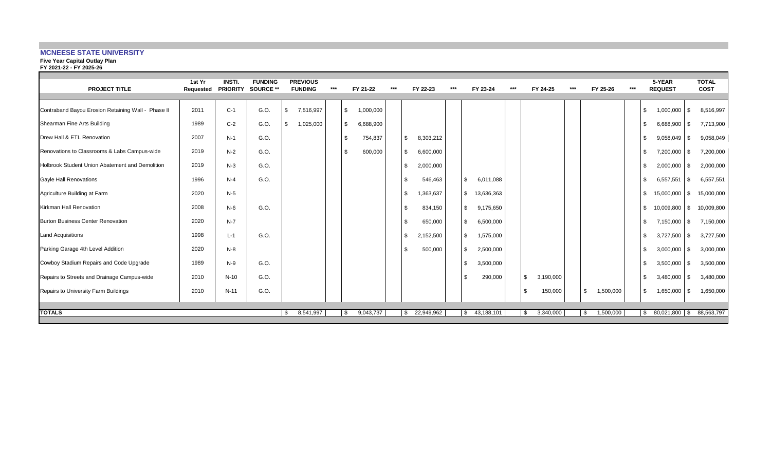## **MCNEESE STATE UNIVERSITY**

#### **Five Year Capital Outlay Plan**

**FY 2021-22 - FY 2025-26**

| <b>PROJECT TITLE</b>                               | 1st Yr<br>Requested | <b>INSTI</b><br><b>PRIORITY</b> | <b>FUNDING</b><br>SOURCE ** | <b>PREVIOUS</b><br><b>FUNDING</b> | *** | FY 21-22        | *** | FY 22-23         | *** | FY 23-24                  | *** | FY 24-25          | *** | FY 25-26        | *** |      | 5-YEAR<br><b>REQUEST</b> | <b>TOTAL</b><br><b>COST</b> |
|----------------------------------------------------|---------------------|---------------------------------|-----------------------------|-----------------------------------|-----|-----------------|-----|------------------|-----|---------------------------|-----|-------------------|-----|-----------------|-----|------|--------------------------|-----------------------------|
| Contraband Bayou Erosion Retaining Wall - Phase II | 2011                | $C-1$                           | G.O.                        | 7,516,997<br>\$                   |     | \$<br>1,000,000 |     |                  |     |                           |     |                   |     |                 |     | £.   | 1,000,000<br>l \$        | 8,516,997                   |
| Shearman Fine Arts Building                        | 1989                | $C-2$                           | G.O.                        | 1,025,000<br>\$                   |     | \$<br>6,688,900 |     |                  |     |                           |     |                   |     |                 |     | £.   | $6,688,900$ \$           | 7,713,900                   |
| Drew Hall & ETL Renovation                         | 2007                | $N-1$                           | G.O.                        |                                   |     | \$<br>754,837   |     | 8,303,212<br>-\$ |     |                           |     |                   |     |                 |     | £.   | $9,058,049$ \$           | 9,058,049                   |
| Renovations to Classrooms & Labs Campus-wide       | 2019                | $N-2$                           | G.O.                        |                                   |     | \$<br>600,000   |     | \$<br>6,600,000  |     |                           |     |                   |     |                 |     | -S   | $7,200,000$ \ \$         | 7,200,000                   |
| Holbrook Student Union Abatement and Demolition    | 2019                | $N-3$                           | G.O.                        |                                   |     |                 |     | \$<br>2,000,000  |     |                           |     |                   |     |                 |     | -S   | 2,000,000<br>- \$        | 2,000,000                   |
| Gayle Hall Renovations                             | 1996                | $N-4$                           | G.O.                        |                                   |     |                 |     | 546,463<br>\$    |     | \$<br>6,011,088           |     |                   |     |                 |     |      | $6,557,551$ \$           | 6,557,551                   |
| Agriculture Building at Farm                       | 2020                | $N-5$                           |                             |                                   |     |                 |     | 1,363,637<br>\$  |     | \$<br>13,636,363          |     |                   |     |                 |     | \$   | 15,000,000<br><b>\$</b>  | 15,000,000                  |
| Kirkman Hall Renovation                            | 2008                | $N-6$                           | G.O.                        |                                   |     |                 |     | \$.<br>834,150   |     | $\mathbb{S}$<br>9,175,650 |     |                   |     |                 |     | \$   | 10,009,800 \$            | 10,009,800                  |
| Burton Business Center Renovation                  | 2020                | $N-7$                           |                             |                                   |     |                 |     | \$<br>650,000    |     | $\mathbb S$<br>6,500,000  |     |                   |     |                 |     | Ŝ.   | $7,150,000$ \ \$         | 7,150,000                   |
| <b>Land Acquisitions</b>                           | 1998                | $L-1$                           | G.O.                        |                                   |     |                 |     | \$.<br>2,152,500 |     | \$<br>1,575,000           |     |                   |     |                 |     | £.   | $3,727,500$ \ \$         | 3,727,500                   |
| Parking Garage 4th Level Addition                  | 2020                | $N-8$                           |                             |                                   |     |                 |     | 500,000          |     | 2,500,000<br>\$           |     |                   |     |                 |     |      | $3,000,000$ \$           | 3,000,000                   |
| Cowboy Stadium Repairs and Code Upgrade            | 1989                | $N-9$                           | G.O.                        |                                   |     |                 |     |                  |     | 3,500,000<br>\$           |     |                   |     |                 |     | £.   | 3,500,000<br>l \$        | 3,500,000                   |
| Repairs to Streets and Drainage Campus-wide        | 2010                | $N-10$                          | G.O.                        |                                   |     |                 |     |                  |     | \$<br>290,000             |     | \$<br>3,190,000   |     |                 |     | £.   | $3,480,000$ \ \$         | 3,480,000                   |
| Repairs to University Farm Buildings               | 2010                | $N-11$                          | G.O.                        |                                   |     |                 |     |                  |     |                           |     | 150,000<br>-S     |     | \$<br>1,500,000 |     | -\$  | $1,650,000$ \$           | 1,650,000                   |
|                                                    |                     |                                 |                             |                                   |     |                 |     |                  |     |                           |     |                   |     |                 |     |      |                          |                             |
| <b>TOTALS</b>                                      |                     |                                 |                             | 8,541,997<br>S.                   |     | 9,043,737<br>\$ |     | 22,949,962<br>S. |     | \$43,188,101              |     | 3,340,000<br>- SS |     | 1,500,000<br>\$ |     | - \$ | 80,021,800 \$ 88,563,797 |                             |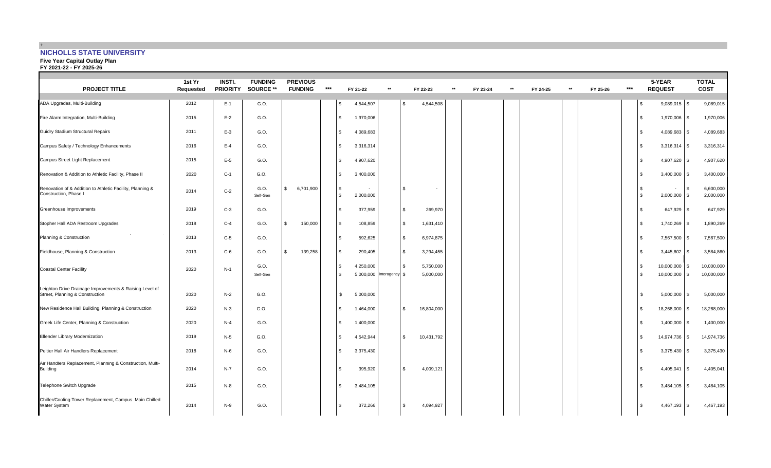## + **NICHOLLS STATE UNIVERSITY**

#### **Five Year Capital Outlay Plan**

**FY 2021-22 - FY 2025-26**

| <b>PROJECT TITLE</b>                                                                       | 1st Yr<br>Requested | <b>INSTI.</b><br><b>PRIORITY</b> | <b>FUNDING</b><br>SOURCE ** | <b>PREVIOUS</b><br><b>FUNDING</b> | $***$ | FY 21-22                           | $\star\star$   |              | FY 22-23               | $\star\star$ | FY 23-24 | $**$ | FY 24-25 | $**$ | FY 25-26 | $***$ |               | 5-YEAR<br><b>REQUEST</b> |                 | <b>TOTAL</b><br><b>COST</b> |
|--------------------------------------------------------------------------------------------|---------------------|----------------------------------|-----------------------------|-----------------------------------|-------|------------------------------------|----------------|--------------|------------------------|--------------|----------|------|----------|------|----------|-------|---------------|--------------------------|-----------------|-----------------------------|
| ADA Upgrades, Multi-Building                                                               | 2012                | $E-1$                            | G.O.                        |                                   |       | \$<br>4,544,507                    |                |              | 4,544,508              |              |          |      |          |      |          |       |               | $9,089,015$ \$           |                 | 9,089,015                   |
| Fire Alarm Integration, Multi-Building                                                     | 2015                | $E-2$                            | G.O.                        |                                   |       | 1,970,006<br>\$                    |                |              |                        |              |          |      |          |      |          |       | -S            | 1,970,006 \$             |                 | 1,970,006                   |
| Guidry Stadium Structural Repairs                                                          | 2011                | $E-3$                            | G.O.                        |                                   |       | 4,089,683<br>\$                    |                |              |                        |              |          |      |          |      |          |       | \$.           | 4,089,683                | S               | 4,089,683                   |
| Campus Safety / Technology Enhancements                                                    | 2016                | $E-4$                            | G.O.                        |                                   |       | $\mathfrak s$<br>3,316,314         |                |              |                        |              |          |      |          |      |          |       | $\mathbf{\$}$ | $3,316,314$ \$           |                 | 3,316,314                   |
| Campus Street Light Replacement                                                            | 2015                | $E-5$                            | G.O.                        |                                   |       | 4,907,620<br>\$                    |                |              |                        |              |          |      |          |      |          |       | -S            | 4,907,620                | -S              | 4,907,620                   |
| Renovation & Addition to Athletic Facility, Phase II                                       | 2020                | $C-1$                            | G.O.                        |                                   |       | \$<br>3,400,000                    |                |              |                        |              |          |      |          |      |          |       |               | $3,400,000$ \$           |                 | 3,400,000                   |
| Renovation of & Addition to Athletic Facility, Planning &<br>Construction, Phase I         | 2014                | $C-2$                            | G.O.<br>Self-Gen            | $\mathbb{S}$<br>6,701,900         |       | \$<br>$\mathfrak{L}$<br>2,000,000  |                | \$           | $\sim$                 |              |          |      |          |      |          |       | $\mathbf{\$}$ | $\sim$<br>2,000,000      | l S<br><b>S</b> | 6,600,000<br>2,000,000      |
| Greenhouse Improvements                                                                    | 2019                | $C-3$                            | G.O.                        |                                   |       | \$<br>377,959                      |                | \$           | 269,970                |              |          |      |          |      |          |       |               | 647,929 \$               |                 | 647,929                     |
| Stopher Hall ADA Restroom Upgrades                                                         | 2018                | $C-4$                            | G.O.                        | $\mathbb{S}$<br>150,000           |       | \$<br>108,859                      |                | $\mathbb{S}$ | 1,631,410              |              |          |      |          |      |          |       | $\mathbf{\$}$ | 1,740,269                | -S              | 1,890,269                   |
| Planning & Construction                                                                    | 2013                | $C-5$                            | G.O.                        |                                   |       | \$<br>592,625                      |                | \$.          | 6,974,875              |              |          |      |          |      |          |       |               | 7,567,500 \$             |                 | 7,567,500                   |
| Fieldhouse, Planning & Construction                                                        | 2013                | $C-6$                            | G.O.                        | 139,258<br>$\mathbb{S}$           |       | $\mathfrak s$<br>290,405           |                | \$           | 3,294,455              |              |          |      |          |      |          |       | $\mathbf{\$}$ | $3,445,602$ \$           |                 | 3,584,860                   |
| <b>Coastal Center Facility</b>                                                             | 2020                | $N-1$                            | G.O.<br>Self-Gen            |                                   |       | 4,250,000<br>\$<br>5,000,000<br>\$ | Interagency \$ |              | 5,750,000<br>5,000,000 |              |          |      |          |      |          |       | -S            | 10,000,000<br>10,000,000 | IS.<br>S        | 10,000,000<br>10,000,000    |
| Leighton Drive Drainage Improvements & Raising Level of<br>Street, Planning & Construction | 2020                | $N-2$                            | G.O.                        |                                   |       | \$<br>5,000,000                    |                |              |                        |              |          |      |          |      |          |       | \$            | 5,000,000                | \$              | 5,000,000                   |
| New Residence Hall Building, Planning & Construction                                       | 2020                | $N-3$                            | G.O.                        |                                   |       | \$<br>1,464,000                    |                | \$           | 16,804,000             |              |          |      |          |      |          |       |               | 18,268,000               | -S              | 18,268,000                  |
| Greek Life Center, Planning & Construction                                                 | 2020                | $N-4$                            | G.O.                        |                                   |       | 1,400,000<br>\$                    |                |              |                        |              |          |      |          |      |          |       |               | 1,400,000                | \$.             | 1,400,000                   |
| <b>Ellender Library Modernization</b>                                                      | 2019                | $N-5$                            | G.O.                        |                                   |       | 4,542,944<br>\$                    |                | $\mathbb{S}$ | 10,431,792             |              |          |      |          |      |          |       | \$.           | 14,974,736               | \$              | 14,974,736                  |
| Peltier Hall Air Handlers Replacement                                                      | 2018                | $N-6$                            | G.O.                        |                                   |       | 3,375,430<br>\$                    |                |              |                        |              |          |      |          |      |          |       | \$            | 3,375,430                | IS.             | 3,375,430                   |
| Air Handlers Replacement, Planning & Construction, Multi-<br><b>Building</b>               | 2014                | $N-7$                            | G.O.                        |                                   |       | 395,920<br>\$                      |                | \$           | 4,009,121              |              |          |      |          |      |          |       | \$.           | 4,405,041                | IS.             | 4,405,041                   |
| Telephone Switch Upgrade                                                                   | 2015                | $N-8$                            | G.O.                        |                                   |       | 3,484,105<br>\$                    |                |              |                        |              |          |      |          |      |          |       |               | $3,484,105$ \$           |                 | 3,484,105                   |
| Chiller/Cooling Tower Replacement, Campus Main Chilled<br><b>Water System</b>              | 2014                | N-9                              | G.O.                        |                                   |       | 372,266<br>\$                      |                | \$           | 4,094,927              |              |          |      |          |      |          |       |               | 4,467,193                | S               | 4,467,193                   |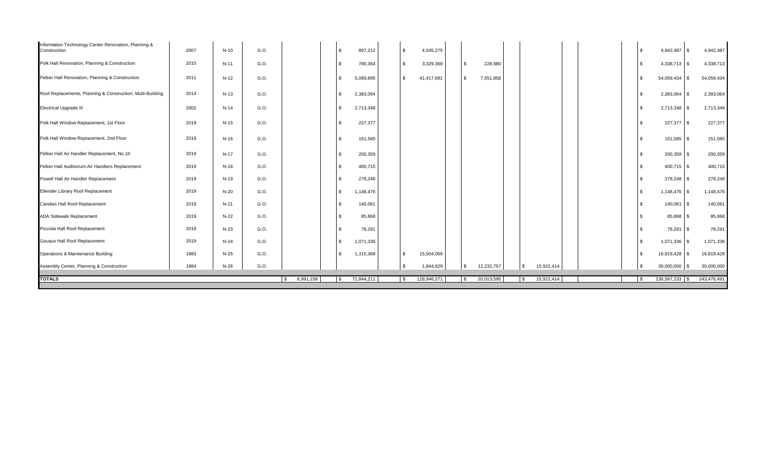| 2015<br>G.O.<br>3,329,369<br>$\mathbb{S}$<br>228,980<br>4,338,713 \$<br>4,338,713<br>N-11<br>\$<br>780,364<br>$\sqrt{3}$<br>2011<br>$\mathbb{S}$<br>$N-12$<br>G.O.<br>$\mathbf{s}$<br>5,089,895<br>41,417,681<br>7,551,858<br>54,059,434 \$<br>54,059,434<br>\$<br>2014<br>G.O.<br>$N-13$<br>$\mathbb{S}$<br>2,383,064<br>2,383,064<br>2,383,064<br>l \$<br>2002<br>2,713,348<br>$N-14$<br>G.O.<br>$\mathfrak{L}$<br>2,713,348<br>2,713,348<br>-\$<br>2019<br>$N-15$<br>G.O.<br>227,377<br>227,377 \$<br>227,377<br>\$<br>2019<br>G.O.<br>N-16<br>\$<br>151,585<br>151,585 \$<br>151,585<br>2019<br>N-17<br>G.O.<br>200,359 \$<br>\$<br>200,359<br>200,359<br>2019<br>400,715<br>N-18<br>G.O.<br>400,715<br>$400,715$ \$<br>\$<br>2019<br>N-19<br>G.O.<br>278,248<br>\$<br>278,248<br>278,248 \$<br>2019<br>$N-20$<br>G.O.<br>\$<br>1,148,476<br>1,148,476 \$<br>1,148,476<br>2019<br>G.O.<br>140,061<br>140,061<br>N-21<br>\$<br>140,061<br>l \$<br>2019<br>$N-22$<br>G.O.<br>\$<br>85,868<br>85,868 \$<br>85,868<br>2019<br>$N-23$<br>G.O.<br>78,291<br>\$<br>78,291<br>78,291 \$<br>2019<br>G.O.<br>$N-24$<br>\$<br>$1,071,336$ \$<br>1,071,336<br>1,071,336<br>1983<br>$N-25$<br>G.O.<br>15,504,059<br>$\mathfrak{L}$<br>1,315,369<br>$\mathbf{s}$<br>16,819,428<br>16,819,428<br>\$<br>1984<br>$N-26$<br>G.O.<br>12,232,757<br>15,922,414<br>30,000,000<br><b>S</b><br>1,844,829<br>\$<br><b>S</b><br>$30,000,000$ \$<br>6,991,158<br>71,844,211<br>128,946,271<br>20,013,595<br>15,922,414<br>236,587,233 \$<br>243,476,491<br><b>S</b><br>l \$<br><b>S</b><br>-S<br>\$. | Information Technology Center Renovation, Planning &<br>Construction | 2007 | $N-10$ | G.O. |  | \$<br>897,212 | $\sqrt{3}$ | 4,045,275 |  |  |  |  | 4,942,487<br>-S | \$<br>4,942,487 |
|--------------------------------------------------------------------------------------------------------------------------------------------------------------------------------------------------------------------------------------------------------------------------------------------------------------------------------------------------------------------------------------------------------------------------------------------------------------------------------------------------------------------------------------------------------------------------------------------------------------------------------------------------------------------------------------------------------------------------------------------------------------------------------------------------------------------------------------------------------------------------------------------------------------------------------------------------------------------------------------------------------------------------------------------------------------------------------------------------------------------------------------------------------------------------------------------------------------------------------------------------------------------------------------------------------------------------------------------------------------------------------------------------------------------------------------------------------------------------------------------------------------------------------------------------------------------------------|----------------------------------------------------------------------|------|--------|------|--|---------------|------------|-----------|--|--|--|--|-----------------|-----------------|
|                                                                                                                                                                                                                                                                                                                                                                                                                                                                                                                                                                                                                                                                                                                                                                                                                                                                                                                                                                                                                                                                                                                                                                                                                                                                                                                                                                                                                                                                                                                                                                                | Polk Hall Renovation, Planning & Construction                        |      |        |      |  |               |            |           |  |  |  |  |                 |                 |
|                                                                                                                                                                                                                                                                                                                                                                                                                                                                                                                                                                                                                                                                                                                                                                                                                                                                                                                                                                                                                                                                                                                                                                                                                                                                                                                                                                                                                                                                                                                                                                                | Peltier Hall Renovation, Planning & Construction                     |      |        |      |  |               |            |           |  |  |  |  |                 |                 |
|                                                                                                                                                                                                                                                                                                                                                                                                                                                                                                                                                                                                                                                                                                                                                                                                                                                                                                                                                                                                                                                                                                                                                                                                                                                                                                                                                                                                                                                                                                                                                                                | Roof Replacements, Planning & Construction, Multi-Building           |      |        |      |  |               |            |           |  |  |  |  |                 |                 |
|                                                                                                                                                                                                                                                                                                                                                                                                                                                                                                                                                                                                                                                                                                                                                                                                                                                                                                                                                                                                                                                                                                                                                                                                                                                                                                                                                                                                                                                                                                                                                                                | <b>Electrical Upgrade III</b>                                        |      |        |      |  |               |            |           |  |  |  |  |                 |                 |
|                                                                                                                                                                                                                                                                                                                                                                                                                                                                                                                                                                                                                                                                                                                                                                                                                                                                                                                                                                                                                                                                                                                                                                                                                                                                                                                                                                                                                                                                                                                                                                                | Polk Hall Window Replacement, 1st Floor                              |      |        |      |  |               |            |           |  |  |  |  |                 |                 |
|                                                                                                                                                                                                                                                                                                                                                                                                                                                                                                                                                                                                                                                                                                                                                                                                                                                                                                                                                                                                                                                                                                                                                                                                                                                                                                                                                                                                                                                                                                                                                                                | Polk Hall Window Replacement, 2nd Floor                              |      |        |      |  |               |            |           |  |  |  |  |                 |                 |
|                                                                                                                                                                                                                                                                                                                                                                                                                                                                                                                                                                                                                                                                                                                                                                                                                                                                                                                                                                                                                                                                                                                                                                                                                                                                                                                                                                                                                                                                                                                                                                                | Peltier Hall Air Handler Replacement, No.10                          |      |        |      |  |               |            |           |  |  |  |  |                 |                 |
|                                                                                                                                                                                                                                                                                                                                                                                                                                                                                                                                                                                                                                                                                                                                                                                                                                                                                                                                                                                                                                                                                                                                                                                                                                                                                                                                                                                                                                                                                                                                                                                | Peltier Hall Auditorium Air Handlers Replacement                     |      |        |      |  |               |            |           |  |  |  |  |                 |                 |
|                                                                                                                                                                                                                                                                                                                                                                                                                                                                                                                                                                                                                                                                                                                                                                                                                                                                                                                                                                                                                                                                                                                                                                                                                                                                                                                                                                                                                                                                                                                                                                                | Powell Hall Air Handler Replacement                                  |      |        |      |  |               |            |           |  |  |  |  |                 |                 |
|                                                                                                                                                                                                                                                                                                                                                                                                                                                                                                                                                                                                                                                                                                                                                                                                                                                                                                                                                                                                                                                                                                                                                                                                                                                                                                                                                                                                                                                                                                                                                                                | Ellender Library Roof Replacement                                    |      |        |      |  |               |            |           |  |  |  |  |                 |                 |
|                                                                                                                                                                                                                                                                                                                                                                                                                                                                                                                                                                                                                                                                                                                                                                                                                                                                                                                                                                                                                                                                                                                                                                                                                                                                                                                                                                                                                                                                                                                                                                                | Candies Hall Roof Replacement                                        |      |        |      |  |               |            |           |  |  |  |  |                 |                 |
|                                                                                                                                                                                                                                                                                                                                                                                                                                                                                                                                                                                                                                                                                                                                                                                                                                                                                                                                                                                                                                                                                                                                                                                                                                                                                                                                                                                                                                                                                                                                                                                | <b>ADA Sidewalk Replacement</b>                                      |      |        |      |  |               |            |           |  |  |  |  |                 |                 |
|                                                                                                                                                                                                                                                                                                                                                                                                                                                                                                                                                                                                                                                                                                                                                                                                                                                                                                                                                                                                                                                                                                                                                                                                                                                                                                                                                                                                                                                                                                                                                                                | Picciola Hall Roof Replacement                                       |      |        |      |  |               |            |           |  |  |  |  |                 |                 |
|                                                                                                                                                                                                                                                                                                                                                                                                                                                                                                                                                                                                                                                                                                                                                                                                                                                                                                                                                                                                                                                                                                                                                                                                                                                                                                                                                                                                                                                                                                                                                                                | Gouaux Hall Roof Replacement                                         |      |        |      |  |               |            |           |  |  |  |  |                 |                 |
|                                                                                                                                                                                                                                                                                                                                                                                                                                                                                                                                                                                                                                                                                                                                                                                                                                                                                                                                                                                                                                                                                                                                                                                                                                                                                                                                                                                                                                                                                                                                                                                | Operations & Maintenance Building                                    |      |        |      |  |               |            |           |  |  |  |  |                 |                 |
|                                                                                                                                                                                                                                                                                                                                                                                                                                                                                                                                                                                                                                                                                                                                                                                                                                                                                                                                                                                                                                                                                                                                                                                                                                                                                                                                                                                                                                                                                                                                                                                | Assembly Center, Planning & Construction                             |      |        |      |  |               |            |           |  |  |  |  |                 |                 |
|                                                                                                                                                                                                                                                                                                                                                                                                                                                                                                                                                                                                                                                                                                                                                                                                                                                                                                                                                                                                                                                                                                                                                                                                                                                                                                                                                                                                                                                                                                                                                                                | <b>TOTALS</b>                                                        |      |        |      |  |               |            |           |  |  |  |  |                 |                 |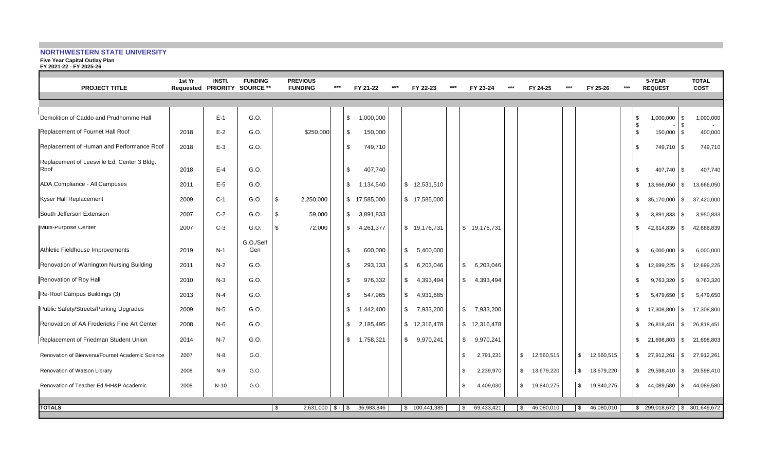## **NORTHWESTERN STATE UNIVERSITY**

**Five Year Capital Outlay Plan FY 2021-22 - FY 2025-26**

| <b>PROJECT TITLE</b>                                | 1st Yr | <b>INSTI.</b><br>Requested PRIORITY SOURCE ** | <b>FUNDING</b>   |     | <b>PREVIOUS</b><br><b>FUNDING</b> | $***$ |              | FY 21-22     | *** | FY 22-23                  | $***$ |      | FY 23-24      | $***$ | FY 24-25                    | $***$ | FY 25-26                     | $***$ |          | 5-YEAR<br><b>REQUEST</b>        |            | <b>TOTAL</b><br><b>COST</b> |
|-----------------------------------------------------|--------|-----------------------------------------------|------------------|-----|-----------------------------------|-------|--------------|--------------|-----|---------------------------|-------|------|---------------|-------|-----------------------------|-------|------------------------------|-------|----------|---------------------------------|------------|-----------------------------|
|                                                     |        |                                               |                  |     |                                   |       |              |              |     |                           |       |      |               |       |                             |       |                              |       |          |                                 |            |                             |
| Demolition of Caddo and Prudhomme Hall              |        | $E-1$                                         | G.O.             |     |                                   |       | \$           | 1,000,000    |     |                           |       |      |               |       |                             |       |                              |       | \$       | 1,000,000                       | \$         | 1,000,000                   |
| Replacement of Fournet Hall Roof                    | 2018   | $E-2$                                         | G.O.             |     | \$250,000                         |       | \$           | 150,000      |     |                           |       |      |               |       |                             |       |                              |       | \$<br>\$ | 150,000 \$                      |            | 400,000                     |
| Replacement of Human and Performance Roof           | 2018   | $E-3$                                         | G.O.             |     |                                   |       | \$           | 749,710      |     |                           |       |      |               |       |                             |       |                              |       | \$       | 749,710 \$                      |            | 749,710                     |
| Replacement of Leesville Ed. Center 3 Bldg.<br>Roof | 2018   | $E-4$                                         | G.O.             |     |                                   |       | \$           | 407,740      |     |                           |       |      |               |       |                             |       |                              |       | \$       | 407,740 \$                      |            | 407,740                     |
| ADA Compliance - All Campuses                       | 2011   | $E-5$                                         | G.O.             |     |                                   |       | \$           | 1,134,540    |     | \$12,531,510              |       |      |               |       |                             |       |                              |       | \$       | 13,666,050                      | l \$       | 13,666,050                  |
| Kyser Hall Replacement                              | 2009   | $C-1$                                         | G.O.             | \$. | 2,250,000                         |       |              | \$17,585,000 |     | \$17,585,000              |       |      |               |       |                             |       |                              |       | \$       | 35,170,000                      | \$         | 37,420,000                  |
| South Jefferson Extension                           | 2007   | $C-2$                                         | G.O.             | \$  | 59,000                            |       | $\mathbb{S}$ | 3,891,833    |     |                           |       |      |               |       |                             |       |                              |       | \$       | $3,891,833$ \$                  |            | 3,950,833                   |
| Multi-Purpose Center                                | 2007   | $C-3$                                         | G.O.             | S.  | 72,000                            |       | S.           | 4,261,377    |     | \$ 19,176,731             |       |      | \$ 19,176,731 |       |                             |       |                              |       | \$       | 42,614,839                      | \$         | 42,686,839                  |
| Athletic Fieldhouse Improvements                    | 2019   | $N-1$                                         | G.O./Self<br>Gen |     |                                   |       | \$.          | 600,000      |     | \$5,400,000               |       |      |               |       |                             |       |                              |       | \$       | 6,000,000                       | l \$       | 6,000,000                   |
| Renovation of Warrington Nursing Building           | 2011   | $N-2$                                         | G.O.             |     |                                   |       | \$           | 293,133      |     | $\mathbb{S}$<br>6,203,046 |       | \$   | 6,203,046     |       |                             |       |                              |       | \$       | 12,699,225                      | $\sqrt{3}$ | 12.699.225                  |
| Renovation of Roy Hall                              | 2010   | $N-3$                                         | G.O.             |     |                                   |       | \$           | 976,332      |     | 4,393,494<br>$\mathbb{S}$ |       | \$   | 4,393,494     |       |                             |       |                              |       | \$       | 9,763,320                       | \$         | 9,763,320                   |
| Re-Roof Campus Buildings (3)                        | 2013   | $N-4$                                         | G.O.             |     |                                   |       | \$.          | 547,965      |     | $\mathbb{S}$<br>4,931,685 |       |      |               |       |                             |       |                              |       | \$       | 5,479,650 \$                    |            | 5,479,650                   |
| Public Safety/Streets/Parking Upgrades              | 2009   | $N-5$                                         | G.O.             |     |                                   |       | \$           | 1,442,400    |     | \$7,933,200               |       |      | \$7,933,200   |       |                             |       |                              |       | \$       | 17,308,800 \$                   |            | 17,308,800                  |
| Renovation of AA Fredericks Fine Art Center         | 2008   | $N-6$                                         | G.O.             |     |                                   |       | \$           | 2,185,495    |     | \$12,316,478              |       |      | \$12,316,478  |       |                             |       |                              |       | \$       | 26,818,451 \$                   |            | 26,818,451                  |
| Replacement of Friedman Student Union               | 2014   | $N-7$                                         | G.O.             |     |                                   |       | \$           | 1,758,321    |     | \$9,970,241               |       | \$   | 9,970,241     |       |                             |       |                              |       | \$       | 21,698,803 \$                   |            | 21,698,803                  |
| Renovation of Bienvenu/Fournet Academic Science     | 2007   | $N-8$                                         | G.O.             |     |                                   |       |              |              |     |                           |       | \$   | 2,791,231     |       | $\mathsf{\$}$<br>12,560,515 |       | $\mathfrak{S}$<br>12,560,515 |       | \$       | 27,912,261 \$                   |            | 27,912,261                  |
| Renovation of Watson Library                        | 2008   | N-9                                           | G.O.             |     |                                   |       |              |              |     |                           |       | -\$  | 2,239,970     |       | \$ 13,679,220               |       | <b>\$</b><br>13,679,220      |       | \$       | 29,598,410 \$                   |            | 29,598,410                  |
| Renovation of Teacher Ed./HH&P Academic             | 2008   | $N-10$                                        | G.O.             |     |                                   |       |              |              |     |                           |       | \$   | 4,409,030     |       | $\mathbb{S}$<br>19,840,275  |       | $\mathfrak{S}$<br>19,840,275 |       | \$       | 44,089,580                      | <b>\$</b>  | 44,089,580                  |
| <b>TOTALS</b>                                       |        |                                               |                  | \$  | $2,631,000$ \$ - \$               |       |              | 36,983,846   |     | \$100,441,385             |       | - \$ | 69,433,421    |       | 46,080,010<br>-S            |       | 46,080,010<br>  \$           |       |          | $$299,018,672$ \ \$ 301,649,672 |            |                             |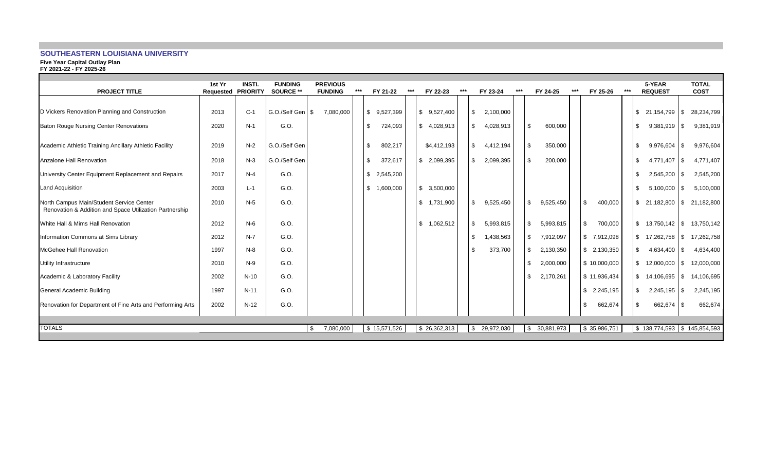# **SOUTHEASTERN LOUISIANA UNIVERSITY**

**Five Year Capital Outlay Plan FY 2021-22 - FY 2025-26**

| <b>PROJECT TITLE</b>                                                                                | 1st Yr<br>Requested | <b>INSTI.</b><br><b>PRIORITY</b> | <b>FUNDING</b><br>SOURCE ** | <b>PREVIOUS</b><br><b>FUNDING</b> | *** | FY 21-22                  | $***$ | FY 22-23        | $***$ | FY 23-24                   | $***$ | FY 24-25         | $***$ | FY 25-26        | $***$ |               | 5-YEAR<br><b>REQUEST</b> |      | <b>TOTAL</b><br><b>COST</b>   |
|-----------------------------------------------------------------------------------------------------|---------------------|----------------------------------|-----------------------------|-----------------------------------|-----|---------------------------|-------|-----------------|-------|----------------------------|-------|------------------|-------|-----------------|-------|---------------|--------------------------|------|-------------------------------|
|                                                                                                     |                     |                                  |                             |                                   |     |                           |       |                 |       |                            |       |                  |       |                 |       |               |                          |      |                               |
| D Vickers Renovation Planning and Construction                                                      | 2013                | $C-1$                            | G.O./Self Gen               | \$<br>7,080,000                   |     | \$9,527,399               |       | \$9,527,400     |       | \$<br>2,100,000            |       |                  |       |                 |       | \$            | 21,154,799               | - \$ | 28,234,799                    |
| <b>Baton Rouge Nursing Center Renovations</b>                                                       | 2020                | $N-1$                            | G.O.                        |                                   |     | \$<br>724,093             |       | \$4,028,913     |       | 4,028,913<br>\$            |       | 600,000<br>-\$   |       |                 |       | \$            | 9,381,919                | -S   | 9,381,919                     |
| Academic Athletic Training Ancillary Athletic Facility                                              | 2019                | $N-2$                            | G.O./Self Gen               |                                   |     | \$<br>802,217             |       | \$4,412,193     |       | \$<br>4,412,194            |       | \$<br>350,000    |       |                 |       | \$            | 9,976,604                | - \$ | 9,976,604                     |
| Anzalone Hall Renovation                                                                            | 2018                | $N-3$                            | G.O./Self Gen               |                                   |     | \$<br>372,617             |       | \$2,099,395     |       | 2,099,395<br>\$            |       | \$<br>200,000    |       |                 |       | \$            | 4,771,407                | - \$ | 4,771,407                     |
| University Center Equipment Replacement and Repairs                                                 | 2017                | $N-4$                            | G.O.                        |                                   |     | \$2,545,200               |       |                 |       |                            |       |                  |       |                 |       | \$            | 2,545,200                | - \$ | 2,545,200                     |
| Land Acquisition                                                                                    | 2003                | $L-1$                            | G.O.                        |                                   |     | $\mathbb{S}$<br>1,600,000 |       | \$3,500,000     |       |                            |       |                  |       |                 |       | \$            | $5,100,000$ \$           |      | 5,100,000                     |
| North Campus Main/Student Service Center<br>Renovation & Addition and Space Utilization Partnership | 2010                | $N-5$                            | G.O.                        |                                   |     |                           |       | \$1,731,900     |       | 9,525,450<br>£.            |       | \$<br>9,525,450  |       | 400,000<br>- \$ |       | \$            |                          |      | 21,182,800   \$21,182,800     |
| White Hall & Mims Hall Renovation                                                                   | 2012                | $N-6$                            | G.O.                        |                                   |     |                           |       | \$<br>1,062,512 |       | 5,993,815<br>-S            |       | \$<br>5,993,815  |       | \$<br>700,000   |       | \$            | 13,750,142               | -S   | 13,750,142                    |
| Information Commons at Sims Library                                                                 | 2012                | $N-7$                            | G.O.                        |                                   |     |                           |       |                 |       | 1,438,563<br>-S            |       | \$<br>7,912,097  |       | \$ 7,912,098    |       | \$            | 17,262,758 \$            |      | 17,262,758                    |
| <b>McGehee Hall Renovation</b>                                                                      | 1997                | $N-8$                            | G.O.                        |                                   |     |                           |       |                 |       | 373,700<br>-S              |       | \$<br>2,130,350  |       | \$2,130,350     |       | $\mathfrak s$ | 4,634,400 \$             |      | 4,634,400                     |
| Utility Infrastructure                                                                              | 2010                | $N-9$                            | G.O.                        |                                   |     |                           |       |                 |       |                            |       | \$<br>2,000,000  |       | \$10,000,000    |       | \$            | $12,000,000$ \$          |      | 12,000,000                    |
| Academic & Laboratory Facility                                                                      | 2002                | $N-10$                           | G.O.                        |                                   |     |                           |       |                 |       |                            |       | \$<br>2,170,261  |       | \$11,936,434    |       | \$            | 14,106,695 \$            |      | 14,106,695                    |
| General Academic Building                                                                           | 1997                | $N-11$                           | G.O.                        |                                   |     |                           |       |                 |       |                            |       |                  |       | \$2,245,195     |       | \$            | $2,245,195$ \$           |      | 2,245,195                     |
| Renovation for Department of Fine Arts and Performing Arts                                          | 2002                | $N-12$                           | G.O.                        |                                   |     |                           |       |                 |       |                            |       |                  |       | 662,674<br>\$   |       | \$            | 662,674                  |      | 662,674                       |
| <b>TOTALS</b>                                                                                       |                     |                                  |                             | \$<br>7,080,000                   |     | \$15,571,526              |       | \$26,362,313    |       | 29,972,030<br>$\mathbb{S}$ |       | 30,881,973<br>\$ |       | \$35,986,751    |       |               |                          |      | $$138,774,593$ $$145,854,593$ |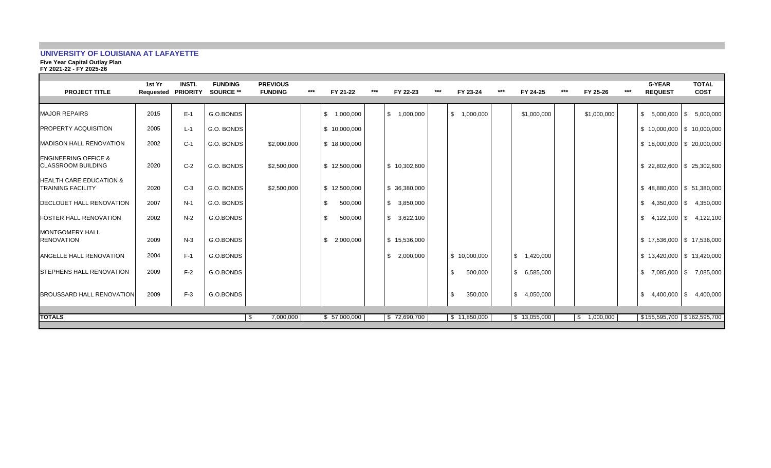## **UNIVERSITY OF LOUISIANA AT LAFAYETTE**

**Five Year Capital Outlay Plan**

**FY 2021-22 - FY 2025-26**

| <b>PROJECT TITLE</b>                                           | 1st Yr<br><b>Requested PRIORITY</b> | <b>INSTI.</b> | <b>FUNDING</b><br><b>SOURCE **</b> | <b>PREVIOUS</b><br><b>FUNDING</b> | *** | FY 21-22        | *** | FY 22-23                  | *** | FY 23-24                 | *** | FY 24-25                  | *** | FY 25-26     | *** | 5-YEAR<br><b>REQUEST</b>      | <b>TOTAL</b><br><b>COST</b> |
|----------------------------------------------------------------|-------------------------------------|---------------|------------------------------------|-----------------------------------|-----|-----------------|-----|---------------------------|-----|--------------------------|-----|---------------------------|-----|--------------|-----|-------------------------------|-----------------------------|
| <b>MAJOR REPAIRS</b>                                           | 2015                                | $E-1$         | G.O.BONDS                          |                                   |     | \$<br>1,000,000 |     | $\mathbb{S}$<br>1,000,000 |     | <b>S</b><br>1.000.000    |     | \$1,000,000               |     | \$1,000,000  |     |                               | $$5,000,000$ $$5,000,000$   |
| <b>PROPERTY ACQUISITION</b>                                    | 2005                                | $L-1$         | G.O. BONDS                         |                                   |     | \$10,000,000    |     |                           |     |                          |     |                           |     |              |     | $$10,000,000$ $$10,000,000$   |                             |
| <b>MADISON HALL RENOVATION</b>                                 | 2002                                | $C-1$         | G.O. BONDS                         | \$2,000,000                       |     | \$18,000,000    |     |                           |     |                          |     |                           |     |              |     |                               | $$18,000,000$ $$20,000,000$ |
| <b>ENGINEERING OFFICE &amp;</b><br><b>CLASSROOM BUILDING</b>   | 2020                                | $C-2$         | G.O. BONDS                         | \$2,500,000                       |     | \$12,500,000    |     | \$10,302,600              |     |                          |     |                           |     |              |     | $$22,802,600$ $$25,302,600$   |                             |
| <b>HEALTH CARE EDUCATION &amp;</b><br><b>TRAINING FACILITY</b> | 2020                                | $C-3$         | G.O. BONDS                         | \$2,500,000                       |     | \$12,500,000    |     | \$ 36,380,000             |     |                          |     |                           |     |              |     |                               | $$48,880,000$ $$51,380,000$ |
| <b>IDECLOUET HALL RENOVATION</b>                               | 2007                                | $N-1$         | G.O. BONDS                         |                                   |     | \$<br>500,000   |     | 3,850,000<br>\$           |     |                          |     |                           |     |              |     |                               | $$4,350,000$ $$4,350,000$   |
| <b>FOSTER HALL RENOVATION</b>                                  | 2002                                | $N-2$         | G.O.BONDS                          |                                   |     | \$.<br>500,000  |     | \$<br>3,622,100           |     |                          |     |                           |     |              |     |                               | $$4,122,100$ $$4,122,100$   |
| <b>MONTGOMERY HALL</b><br><b>RENOVATION</b>                    | 2009                                | $N-3$         | G.O.BONDS                          |                                   |     | \$<br>2,000,000 |     | \$15,536,000              |     |                          |     |                           |     |              |     | $$17,536,000$ $$17,536,000$   |                             |
| <b>ANGELLE HALL RENOVATION</b>                                 | 2004                                | $F-1$         | G.O.BONDS                          |                                   |     |                 |     | 2,000,000<br>\$           |     | $\frac{1}{2}$ 10,000,000 |     | $\mathbb{S}$<br>1,420,000 |     |              |     | $$13,420,000$ $$13,420,000$   |                             |
| <b>ISTEPHENS HALL RENOVATION</b>                               | 2009                                | $F-2$         | G.O.BONDS                          |                                   |     |                 |     |                           |     | -\$<br>500,000           |     | \$6,585,000               |     |              |     |                               | $$7,085,000$ $$7,085,000$   |
| <b>BROUSSARD HALL RENOVATION</b>                               | 2009                                | $F-3$         | G.O.BONDS                          |                                   |     |                 |     |                           |     | 350,000<br>- \$          |     | $\mathbb{S}$<br>4,050,000 |     |              |     | \$                            | 4,400,000 \$ 4,400,000      |
| <b>TOTALS</b>                                                  |                                     |               |                                    | 7,000,000<br>\$                   |     | \$ 57,000,000   |     | \$72,690,700              |     | \$11,850,000             |     | \$13,055,000              |     | \$ 1,000,000 |     | \$155,595,700   \$162,595,700 |                             |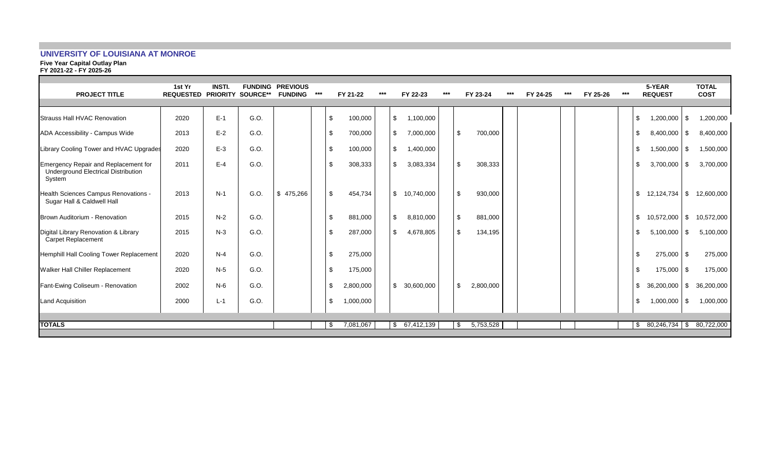# **UNIVERSITY OF LOUISIANA AT MONROE**

**Five Year Capital Outlay Plan FY 2021-22 - FY 2025-26**

| <b>PROJECT TITLE</b>                                                                                | 1st Yr<br><b>REQUESTED PRIORITY</b> | <b>INSTI.</b> | <b>SOURCE**</b> | <b>FUNDING PREVIOUS</b><br><b>FUNDING</b> | $***$ | FY 21-22  | $***$ |    | FY 22-23   | *** | FY 23-24  | $***$ | FY 24-25 | $***$ | FY 25-26 | *** | 5-YEAR<br><b>REQUEST</b> |      | <b>TOTAL</b><br><b>COST</b> |
|-----------------------------------------------------------------------------------------------------|-------------------------------------|---------------|-----------------|-------------------------------------------|-------|-----------|-------|----|------------|-----|-----------|-------|----------|-------|----------|-----|--------------------------|------|-----------------------------|
| Strauss Hall HVAC Renovation                                                                        | 2020                                | $E-1$         | G.O.            |                                           | \$    | 100,000   |       | \$ | 1,100,000  |     |           |       |          |       |          |     | \$<br>1,200,000          | \$   | 1,200,000                   |
| ADA Accessibility - Campus Wide                                                                     | 2013                                | $E-2$         | G.O.            |                                           | \$    | 700,000   |       | \$ | 7,000,000  | \$  | 700,000   |       |          |       |          |     | \$<br>8,400,000          | \$   | 8,400,000                   |
| Library Cooling Tower and HVAC Upgrades                                                             | 2020                                | $E-3$         | G.O.            |                                           | -\$   | 100,000   |       | \$ | 1,400,000  |     |           |       |          |       |          |     | \$<br>1,500,000          | - \$ | 1,500,000                   |
| <b>Emergency Repair and Replacement for</b><br><b>Underground Electrical Distribution</b><br>System | 2011                                | $E-4$         | G.O.            |                                           | \$    | 308,333   |       | \$ | 3,083,334  | \$  | 308,333   |       |          |       |          |     | \$<br>3,700,000          | \$   | 3,700,000                   |
| <b>Health Sciences Campus Renovations -</b><br>Sugar Hall & Caldwell Hall                           | 2013                                | $N-1$         | G.O.            | \$475,266                                 | -\$   | 454,734   |       | \$ | 10,740,000 | \$  | 930,000   |       |          |       |          |     | \$<br>12,124,734         | \$   | 12,600,000                  |
| Brown Auditorium - Renovation                                                                       | 2015                                | $N-2$         | G.O.            |                                           | \$    | 881,000   |       | \$ | 8,810,000  | \$  | 881,000   |       |          |       |          |     | \$<br>10,572,000         | \$   | 10,572,000                  |
| Digital Library Renovation & Library<br><b>Carpet Replacement</b>                                   | 2015                                | $N-3$         | G.O.            |                                           | -\$   | 287,000   |       | \$ | 4,678,805  | \$  | 134,195   |       |          |       |          |     | \$<br>5,100,000          | \$   | 5,100,000                   |
| Hemphill Hall Cooling Tower Replacement                                                             | 2020                                | $N-4$         | G.O.            |                                           | \$    | 275,000   |       |    |            |     |           |       |          |       |          |     | \$<br>275,000 \$         |      | 275,000                     |
| <b>Walker Hall Chiller Replacement</b>                                                              | 2020                                | $N-5$         | G.O.            |                                           | -\$   | 175,000   |       |    |            |     |           |       |          |       |          |     | \$<br>175,000 \$         |      | 175,000                     |
| Fant-Ewing Coliseum - Renovation                                                                    | 2002                                | $N-6$         | G.O.            |                                           | \$    | 2,800,000 |       | \$ | 30,600,000 | \$  | 2,800,000 |       |          |       |          |     | \$<br>36,200,000         | \$   | 36,200,000                  |
| <b>Land Acquisition</b>                                                                             | 2000                                | $L - 1$       | G.O.            |                                           | \$    | 1,000,000 |       |    |            |     |           |       |          |       |          |     | \$<br>1,000,000          | \$   | 1,000,000                   |
|                                                                                                     |                                     |               |                 |                                           |       |           |       |    |            |     |           |       |          |       |          |     |                          |      |                             |
| <b>TOTALS</b>                                                                                       |                                     |               |                 |                                           | - \$  | 7,081,067 |       | S. | 67,412,139 | -S  | 5,753,528 |       |          |       |          |     | $$80,246,734$ \\$        |      | 80,722,000                  |